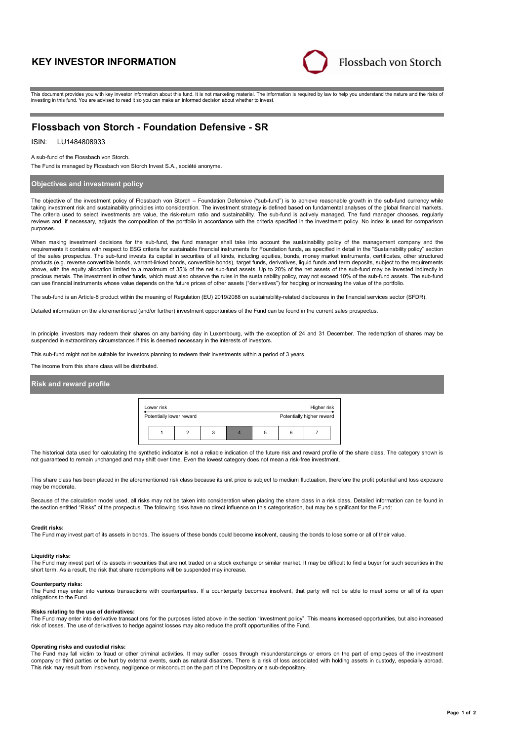# **KEY INVESTOR INFORMATION**



This document provides you with key investor information about this fund. It is not marketing material. The information is required by law to help you understand the nature and the risks of investing in this fund. You are advised to read it so you can make an informed decision about whether to invest.

# **Flossbach von Storch - Foundation Defensive - SR**

## ISIN: LU1484808933

A sub-fund of the Flossbach von Storch.

The Fund is managed by Flossbach von Storch Invest S.A., société anonyme.

## **Objectives and investment policy**

The objective of the investment policy of Flossbach von Storch – Foundation Defensive ("sub-fund") is to achieve reasonable growth in the sub-fund currency while taking investment risk and sustainability principles into consideration. The investment strategy is defined based on fundamental analyses of the global financial markets. The criteria used to select investments are value, the risk-return ratio and sustainability. The sub-fund is actively managed. The fund manager chooses, regularly reviews and, if necessary, adjusts the composition of the portfolio in accordance with the criteria specified in the investment policy. No index is used for comparison purposes.

When making investment decisions for the sub-fund, the fund manager shall take into account the sustainability policy of the management company and the requirements it contains with respect to ESG criteria for sustainable financial instruments for Foundation funds, as specified in detail in the "Sustainability policy" section of the sales prospectus. The sub-fund invests its capital in securities of all kinds, including equities, bonds, money market instruments, certificates, other structured products (e.g. reverse convertible bonds, warrant-linked bonds, convertible bonds), target funds, derivatives, liquid funds and term deposits, subject to the requirements above, with the equity allocation limited to a maximum of 35% of the net sub-fund assets. Up to 20% of the net assets of the sub-fund may be invested indirectly in precious metals. The investment in other funds, which must also observe the rules in the sustainability policy, may not exceed 10% of the sub-fund assets. The sub-fund can use financial instruments whose value depends on the future prices of other assets ("derivatives") for hedging or increasing the value of the portfolio.

The sub-fund is an Article-8 product within the meaning of Regulation (EU) 2019/2088 on sustainability-related disclosures in the financial services sector (SFDR).

Detailed information on the aforementioned (and/or further) investment opportunities of the Fund can be found in the current sales prospectus.

In principle, investors may redeem their shares on any banking day in Luxembourg, with the exception of 24 and 31 December. The redemption of shares may be suspended in extraordinary circumstances if this is deemed necessary in the interests of investors.

This sub-fund might not be suitable for investors planning to redeem their investments within a period of 3 years.

The income from this share class will be distributed.

# **Risk and reward profile**

| Lower risk<br>Higher risk |                          |   |  |   |  |                           |  |
|---------------------------|--------------------------|---|--|---|--|---------------------------|--|
|                           | Potentially lower reward |   |  |   |  | Potentially higher reward |  |
|                           |                          | 3 |  | 5 |  |                           |  |

The historical data used for calculating the synthetic indicator is not a reliable indication of the future risk and reward profile of the share class. The category shown is not guaranteed to remain unchanged and may shift over time. Even the lowest category does not mean a risk-free investment.

This share class has been placed in the aforementioned risk class because its unit price is subject to medium fluctuation, therefore the profit potential and loss exposure may be moderate

Because of the calculation model used, all risks may not be taken into consideration when placing the share class in a risk class. Detailed information can be found in the section entitled "Risks" of the prospectus. The following risks have no direct influence on this categorisation, but may be significant for the Fund:

#### **Credit risks:**

The Fund may invest part of its assets in bonds. The issuers of these bonds could become insolvent, causing the bonds to lose some or all of their value.

#### **Liquidity risks:**

The Fund may invest part of its assets in securities that are not traded on a stock exchange or similar market. It may be difficult to find a buyer for such securities in the short term. As a result, the risk that share redemptions will be suspended may increase.

#### **Counterparty risks:**

The Fund may enter into various transactions with counterparties. If a counterparty becomes insolvent, that party will not be able to meet some or all of its open obligations to the Fund.

#### **Risks relating to the use of derivatives:**

The Fund may enter into derivative transactions for the purposes listed above in the section "Investment policy". This means increased opportunities, but also increased<br>risk of losses. The use of derivatives to hedge again

#### **Operating risks and custodial risks:**

The Fund may fall victim to fraud or other criminal activities. It may suffer losses through misunderstandings or errors on the part of employees of the investment company or third parties or be hurt by external events, such as natural disasters. There is a risk of loss associated with holding assets in custody, especially abroad. This risk may result from insolvency, negligence or misconduct on the part of the Depositary or a sub-depositary.